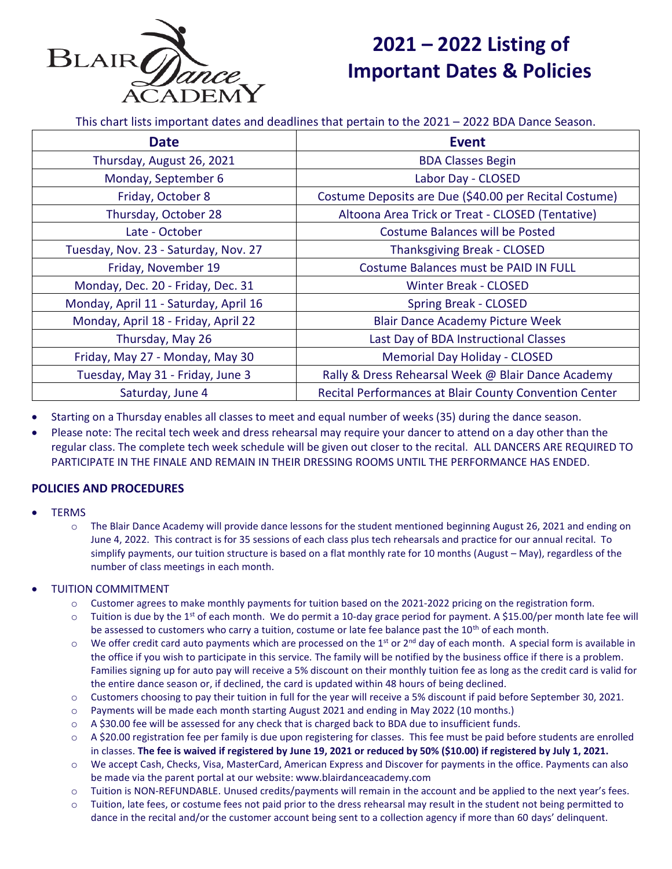

# **2021 – 2022 Listing of Important Dates & Policies**

This chart lists important dates and deadlines that pertain to the 2021 – 2022 BDA Dance Season.

| <b>Date</b>                           | <b>Event</b>                                           |
|---------------------------------------|--------------------------------------------------------|
| Thursday, August 26, 2021             | <b>BDA Classes Begin</b>                               |
| Monday, September 6                   | Labor Day - CLOSED                                     |
| Friday, October 8                     | Costume Deposits are Due (\$40.00 per Recital Costume) |
| Thursday, October 28                  | Altoona Area Trick or Treat - CLOSED (Tentative)       |
| Late - October                        | Costume Balances will be Posted                        |
| Tuesday, Nov. 23 - Saturday, Nov. 27  | <b>Thanksgiving Break - CLOSED</b>                     |
| Friday, November 19                   | Costume Balances must be PAID IN FULL                  |
| Monday, Dec. 20 - Friday, Dec. 31     | <b>Winter Break - CLOSED</b>                           |
| Monday, April 11 - Saturday, April 16 | <b>Spring Break - CLOSED</b>                           |
| Monday, April 18 - Friday, April 22   | <b>Blair Dance Academy Picture Week</b>                |
| Thursday, May 26                      | Last Day of BDA Instructional Classes                  |
| Friday, May 27 - Monday, May 30       | <b>Memorial Day Holiday - CLOSED</b>                   |
| Tuesday, May 31 - Friday, June 3      | Rally & Dress Rehearsal Week @ Blair Dance Academy     |
| Saturday, June 4                      | Recital Performances at Blair County Convention Center |

- Starting on a Thursday enables all classes to meet and equal number of weeks (35) during the dance season.
- Please note: The recital tech week and dress rehearsal may require your dancer to attend on a day other than the regular class. The complete tech week schedule will be given out closer to the recital. ALL DANCERS ARE REQUIRED TO PARTICIPATE IN THE FINALE AND REMAIN IN THEIR DRESSING ROOMS UNTIL THE PERFORMANCE HAS ENDED.

## **POLICIES AND PROCEDURES**

#### **TERMS**

 $\circ$  The Blair Dance Academy will provide dance lessons for the student mentioned beginning August 26, 2021 and ending on June 4, 2022. This contract is for 35 sessions of each class plus tech rehearsals and practice for our annual recital. To simplify payments, our tuition structure is based on a flat monthly rate for 10 months (August – May), regardless of the number of class meetings in each month.

## • TUITION COMMITMENT

- o Customer agrees to make monthly payments for tuition based on the 2021-2022 pricing on the registration form.
- $\circ$  Tuition is due by the 1<sup>st</sup> of each month. We do permit a 10-day grace period for payment. A \$15.00/per month late fee will be assessed to customers who carry a tuition, costume or late fee balance past the  $10<sup>th</sup>$  of each month.
- $\circ$  We offer credit card auto payments which are processed on the 1<sup>st</sup> or 2<sup>nd</sup> day of each month. A special form is available in the office if you wish to participate in this service. The family will be notified by the business office if there is a problem. Families signing up for auto pay will receive a 5% discount on their monthly tuition fee as long as the credit card is valid for the entire dance season or, if declined, the card is updated within 48 hours of being declined.
- o Customers choosing to pay their tuition in full for the year will receive a 5% discount if paid before September 30, 2021.
- o Payments will be made each month starting August 2021 and ending in May 2022 (10 months.)
- o A \$30.00 fee will be assessed for any check that is charged back to BDA due to insufficient funds.
- o A \$20.00 registration fee per family is due upon registering for classes. This fee must be paid before students are enrolled in classes. **The fee is waived if registered by June 19, 2021 or reduced by 50% (\$10.00) if registered by July 1, 2021.**
- o We accept Cash, Checks, Visa, MasterCard, American Express and Discover for payments in the office. Payments can also be made via the parent portal at our website: www.blairdanceacademy.com
- o Tuition is NON-REFUNDABLE. Unused credits/payments will remain in the account and be applied to the next year's fees.
- $\circ$  Tuition, late fees, or costume fees not paid prior to the dress rehearsal may result in the student not being permitted to dance in the recital and/or the customer account being sent to a collection agency if more than 60 days' delinquent.